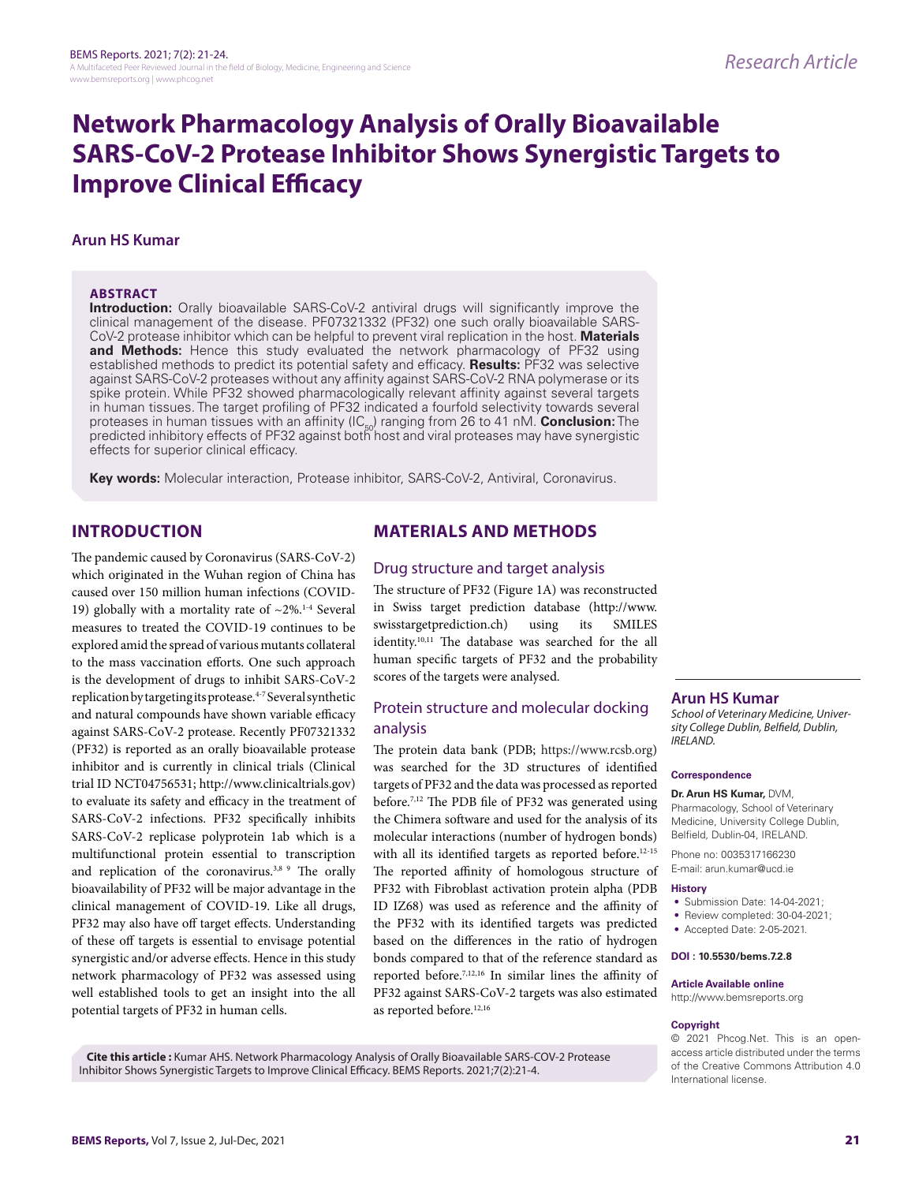# **Network Pharmacology Analysis of Orally Bioavailable SARS-CoV-2 Protease Inhibitor Shows Synergistic Targets to Improve Clinical Efficacy**

## **Arun HS Kumar**

#### **ABSTRACT**

**Introduction:** Orally bioavailable SARS-CoV-2 antiviral drugs will significantly improve the clinical management of the disease. PF07321332 (PF32) one such orally bioavailable SARS-CoV-2 protease inhibitor which can be helpful to prevent viral replication in the host. **Materials and Methods:** Hence this study evaluated the network pharmacology of PF32 using established methods to predict its potential safety and efficacy. **Results:** PF32 was selective against SARS-CoV-2 proteases without any affinity against SARS-CoV-2 RNA polymerase or its spike protein. While PF32 showed pharmacologically relevant affinity against several targets in human tissues. The target profiling of PF32 indicated a fourfold selectivity towards several proteases in human tissues with an affinity (IC<sub>50</sub>) ranging from 26 to 41 nM. **Conclusion:** The<br>predicted inhibitory effects of PF32 against both host and viral proteases may have synergistic effects for superior clinical efficacy.

**Key words:** Molecular interaction, Protease inhibitor, SARS-CoV-2, Antiviral, Coronavirus.

## **INTRODUCTION**

The pandemic caused by Coronavirus (SARS-CoV-2) which originated in the Wuhan region of China has caused over 150 million human infections (COVID-19) globally with a mortality rate of  $\sim$ 2%.<sup>1-4</sup> Several measures to treated the COVID-19 continues to be explored amid the spread of various mutants collateral to the mass vaccination efforts. One such approach is the development of drugs to inhibit SARS-CoV-2 replication by targeting its protease.<sup>4-7</sup> Several synthetic and natural compounds have shown variable efficacy against SARS-CoV-2 protease. Recently PF07321332 (PF32) is reported as an orally bioavailable protease inhibitor and is currently in clinical trials (Clinical trial ID NCT04756531; http://www.clinicaltrials.gov) to evaluate its safety and efficacy in the treatment of SARS-CoV-2 infections. PF32 specifically inhibits SARS-CoV-2 replicase polyprotein 1ab which is a multifunctional protein essential to transcription and replication of the coronavirus.<sup>3,8</sup> <sup>9</sup> The orally bioavailability of PF32 will be major advantage in the clinical management of COVID-19. Like all drugs, PF32 may also have off target effects. Understanding of these off targets is essential to envisage potential synergistic and/or adverse effects. Hence in this study network pharmacology of PF32 was assessed using well established tools to get an insight into the all potential targets of PF32 in human cells.

# **MATERIALS AND METHODS**

## Drug structure and target analysis

The structure of PF32 (Figure 1A) was reconstructed in Swiss target prediction database (http://www. swisstargetprediction.ch) using its SMILES identity.<sup>10,11</sup> The database was searched for the all human specific targets of PF32 and the probability scores of the targets were analysed.

## Protein structure and molecular docking analysis

The protein data bank (PDB; https://www.rcsb.org) was searched for the 3D structures of identified targets of PF32 and the data was processed as reported before.7,12 The PDB file of PF32 was generated using the Chimera software and used for the analysis of its molecular interactions (number of hydrogen bonds) with all its identified targets as reported before.<sup>12-15</sup> The reported affinity of homologous structure of PF32 with Fibroblast activation protein alpha (PDB ID IZ68) was used as reference and the affinity of the PF32 with its identified targets was predicted based on the differences in the ratio of hydrogen bonds compared to that of the reference standard as reported before.7,12,16 In similar lines the affinity of PF32 against SARS-CoV-2 targets was also estimated as reported before.<sup>12,16</sup>

# **Arun HS Kumar**

*School of Veterinary Medicine, University College Dublin, Belfield, Dublin, IRELAND.*

#### **Correspondence**

#### **Dr. Arun HS Kumar,** DVM,

Pharmacology, School of Veterinary Medicine, University College Dublin, Belfield, Dublin-04, IRELAND.

Phone no: 0035317166230 E-mail: arun.kumar@ucd.ie

#### **History**

- Submission Date: 14-04-2021;
- Review completed: 30-04-2021;
- Accepted Date: 2-05-2021.

#### **DOI : 10.5530/bems.7.2.8**

**Article Available online**  http://www.bemsreports.org

# **Copyright**

© 2021 Phcog.Net. This is an openaccess article distributed under the terms of the Creative Commons Attribution 4.0 International license.

**Cite this article :** Kumar AHS. Network Pharmacology Analysis of Orally Bioavailable SARS-COV-2 Protease Inhibitor Shows Synergistic Targets to Improve Clinical Efficacy. BEMS Reports. 2021;7(2):21-4.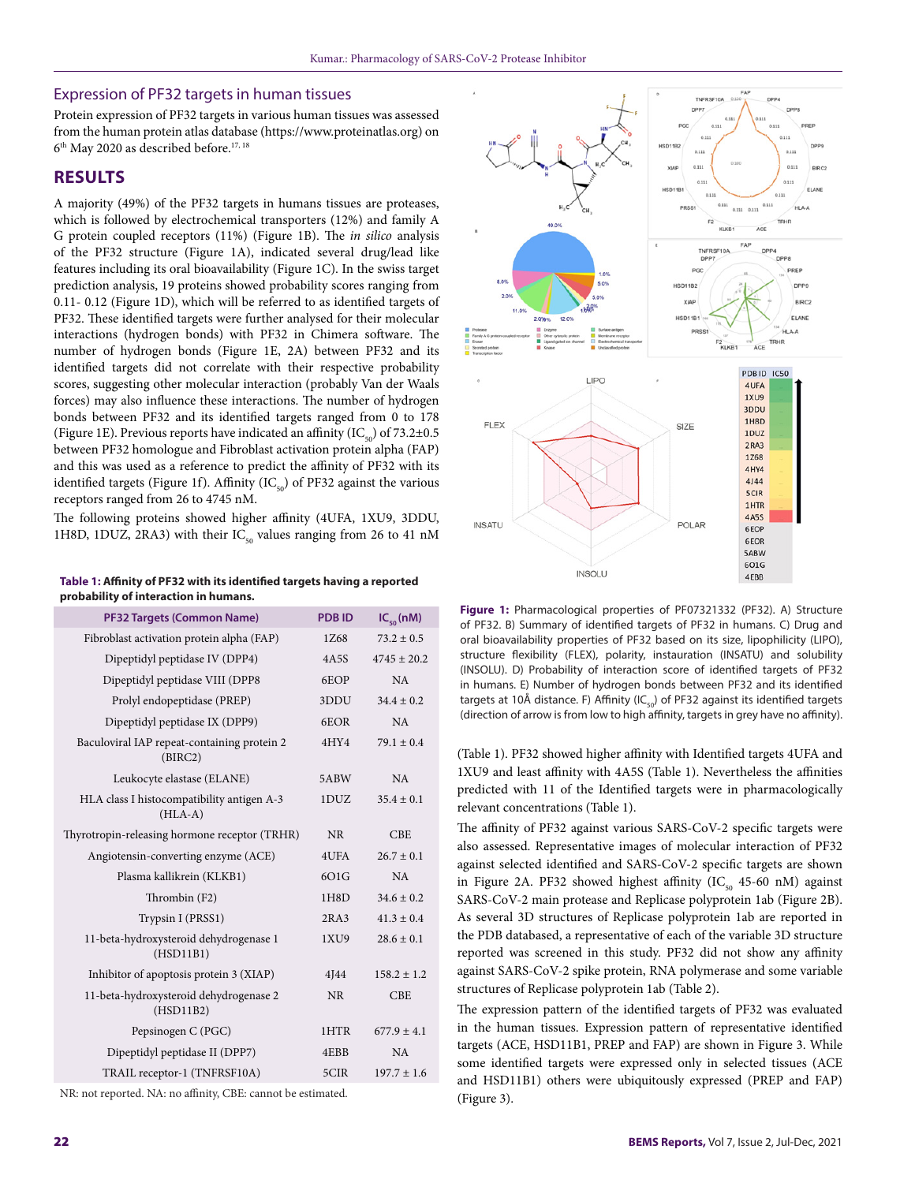#### Expression of PF32 targets in human tissues

Protein expression of PF32 targets in various human tissues was assessed from the human protein atlas database (https://www.proteinatlas.org) on 6th May 2020 as described before.17, 18

## **RESULTS**

A majority (49%) of the PF32 targets in humans tissues are proteases, which is followed by electrochemical transporters (12%) and family A G protein coupled receptors (11%) (Figure 1B). The *in silico* analysis of the PF32 structure (Figure 1A), indicated several drug/lead like features including its oral bioavailability (Figure 1C). In the swiss target prediction analysis, 19 proteins showed probability scores ranging from 0.11- 0.12 (Figure 1D), which will be referred to as identified targets of PF32. These identified targets were further analysed for their molecular interactions (hydrogen bonds) with PF32 in Chimera software. The number of hydrogen bonds (Figure 1E, 2A) between PF32 and its identified targets did not correlate with their respective probability scores, suggesting other molecular interaction (probably Van der Waals forces) may also influence these interactions. The number of hydrogen bonds between PF32 and its identified targets ranged from 0 to 178 (Figure 1E). Previous reports have indicated an affinity (IC<sub>50</sub>) of 73.2±0.5 between PF32 homologue and Fibroblast activation protein alpha (FAP) and this was used as a reference to predict the affinity of PF32 with its identified targets (Figure 1f). Affinity (IC $_{50}$ ) of PF32 against the various receptors ranged from 26 to 4745 nM.

The following proteins showed higher affinity (4UFA, 1XU9, 3DDU, 1H8D, 1DUZ, 2RA3) with their  $IC_{50}$  values ranging from 26 to 41 nM

**Table 1: Affinity of PF32 with its identified targets having a reported probability of interaction in humans.**

| <b>PF32 Targets (Common Name)</b>                       | <b>PDBID</b> | $IC_{50}(nM)$   |
|---------------------------------------------------------|--------------|-----------------|
| Fibroblast activation protein alpha (FAP)               | 1Z68         | $73.2 \pm 0.5$  |
| Dipeptidyl peptidase IV (DPP4)                          | 4A5S         | $4745 \pm 20.2$ |
| Dipeptidyl peptidase VIII (DPP8                         | 6EOP         | <b>NA</b>       |
| Prolyl endopeptidase (PREP)                             | 3DDU         | $34.4 \pm 0.2$  |
| Dipeptidyl peptidase IX (DPP9)                          | 6EOR         | NA              |
| Baculoviral IAP repeat-containing protein 2<br>(BIRC2)  | 4HY4         | $79.1 \pm 0.4$  |
| Leukocyte elastase (ELANE)                              | 5ABW         | NA              |
| HLA class I histocompatibility antigen A-3<br>$(HLA-A)$ | 1DUZ         | $35.4 \pm 0.1$  |
| Thyrotropin-releasing hormone receptor (TRHR)           | <b>NR</b>    | <b>CBE</b>      |
| Angiotensin-converting enzyme (ACE)                     | 4UFA         | $26.7 \pm 0.1$  |
| Plasma kallikrein (KLKB1)                               | 6O1G         | NA              |
| Thrombin (F2)                                           | 1H8D         | $34.6 \pm 0.2$  |
| Trypsin I (PRSS1)                                       | 2RA3         | $41.3 \pm 0.4$  |
| 11-beta-hydroxysteroid dehydrogenase 1<br>(HSD11B1)     | 1XU9         | $28.6 \pm 0.1$  |
| Inhibitor of apoptosis protein 3 (XIAP)                 | 4]44         | $158.2 \pm 1.2$ |
| 11-beta-hydroxysteroid dehydrogenase 2<br>(HSD11B2)     | <b>NR</b>    | <b>CBE</b>      |
| Pepsinogen C (PGC)                                      | 1HTR         | $677.9 \pm 4.1$ |
| Dipeptidyl peptidase II (DPP7)                          | 4EBB         | NA              |
| TRAIL receptor-1 (TNFRSF10A)                            | 5CIR         | $197.7 \pm 1.6$ |
|                                                         |              |                 |

NR: not reported. NA: no affinity, CBE: cannot be estimated.



**Figure 1:** Pharmacological properties of PF07321332 (PF32). A) Structure of PF32. B) Summary of identified targets of PF32 in humans. C) Drug and oral bioavailability properties of PF32 based on its size, lipophilicity (LIPO), structure flexibility (FLEX), polarity, instauration (INSATU) and solubility (INSOLU). D) Probability of interaction score of identified targets of PF32 in humans. E) Number of hydrogen bonds between PF32 and its identified targets at 10Å distance. F) Affinity (IC $_{\rm co}$ ) of PF32 against its identified targets (direction of arrow is from low to high affinity, targets in grey have no affinity).

(Table 1). PF32 showed higher affinity with Identified targets 4UFA and 1XU9 and least affinity with 4A5S (Table 1). Nevertheless the affinities predicted with 11 of the Identified targets were in pharmacologically relevant concentrations (Table 1).

The affinity of PF32 against various SARS-CoV-2 specific targets were also assessed. Representative images of molecular interaction of PF32 against selected identified and SARS-CoV-2 specific targets are shown in Figure 2A. PF32 showed highest affinity  $(IC_{50} 45-60 \text{ nM})$  against SARS-CoV-2 main protease and Replicase polyprotein 1ab (Figure 2B). As several 3D structures of Replicase polyprotein 1ab are reported in the PDB databased, a representative of each of the variable 3D structure reported was screened in this study. PF32 did not show any affinity against SARS-CoV-2 spike protein, RNA polymerase and some variable structures of Replicase polyprotein 1ab (Table 2).

The expression pattern of the identified targets of PF32 was evaluated in the human tissues. Expression pattern of representative identified targets (ACE, HSD11B1, PREP and FAP) are shown in Figure 3. While some identified targets were expressed only in selected tissues (ACE and HSD11B1) others were ubiquitously expressed (PREP and FAP) (Figure 3).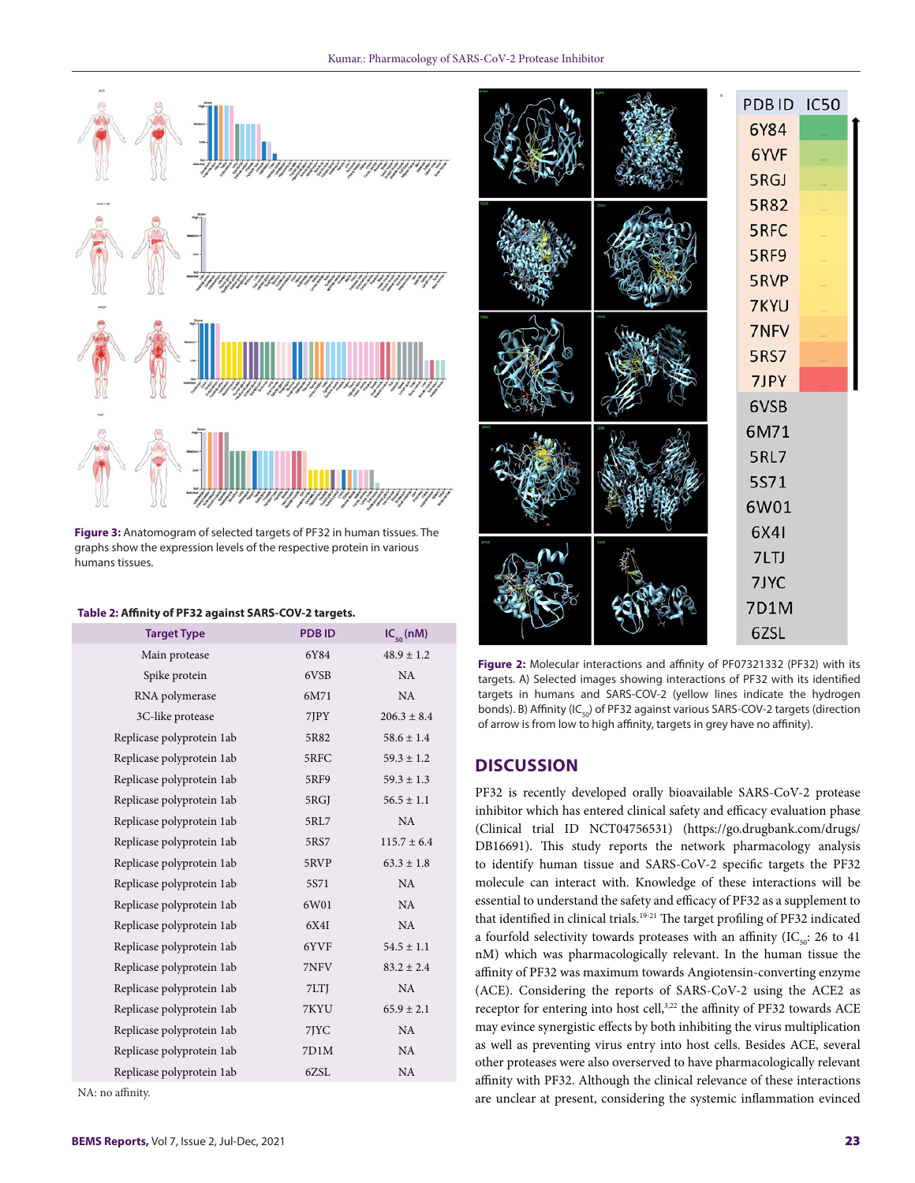

**Figure 3:** Anatomogram of selected targets of PF32 in human tissues. The graphs show the expression levels of the respective protein in various humans tissues.

#### **Table 2: Affinity of PF32 against SARS-COV-2 targets.**

| <b>PDBID</b><br>6Y84<br>6VSB<br>6M71<br>7JPY<br>5R82 | $IC_{50}(nM)$<br>$48.9 \pm 1.2$<br><b>NA</b><br>NA<br>$206.3 \pm 8.4$<br>$58.6 \pm 1.4$ |
|------------------------------------------------------|-----------------------------------------------------------------------------------------|
|                                                      |                                                                                         |
|                                                      |                                                                                         |
|                                                      |                                                                                         |
|                                                      |                                                                                         |
|                                                      |                                                                                         |
|                                                      |                                                                                         |
|                                                      | $59.3 \pm 1.2$                                                                          |
| 5RF9                                                 | $59.3 \pm 1.3$                                                                          |
| 5RGJ                                                 | $56.5 \pm 1.1$                                                                          |
| 5RL7                                                 | <b>NA</b>                                                                               |
| 5RS7                                                 | $115.7 \pm 6.4$                                                                         |
| 5RVP                                                 | $63.3 \pm 1.8$                                                                          |
| 5S71                                                 | NA                                                                                      |
| 6W01                                                 | NA                                                                                      |
| 6X4I                                                 | NA                                                                                      |
| 6YVF                                                 | $54.5 \pm 1.1$                                                                          |
| 7NFV                                                 | $83.2 \pm 2.4$                                                                          |
| 7LTJ                                                 | NA                                                                                      |
| 7KYU                                                 | $65.9 \pm 2.1$                                                                          |
| 7JYC                                                 | NA                                                                                      |
| 7D1M                                                 | NA                                                                                      |
| 6ZSL                                                 | NA                                                                                      |
|                                                      | 5RFC                                                                                    |

NA: no affinity.



**Figure 2:** Molecular interactions and affinity of PF07321332 (PF32) with its targets. A) Selected images showing interactions of PF32 with its identified targets in humans and SARS-COV-2 (yellow lines indicate the hydrogen bonds). B) Affinity ( $IC_{50}$ ) of PF32 against various SARS-COV-2 targets (direction of arrow is from low to high affinity, targets in grey have no affinity).

## **DISCUSSION**

PF32 is recently developed orally bioavailable SARS-CoV-2 protease inhibitor which has entered clinical safety and efficacy evaluation phase (Clinical trial ID NCT04756531) (https://go.drugbank.com/drugs/ DB16691). This study reports the network pharmacology analysis to identify human tissue and SARS-CoV-2 specific targets the PF32 molecule can interact with. Knowledge of these interactions will be essential to understand the safety and efficacy of PF32 as a supplement to that identified in clinical trials.<sup>19-21</sup> The target profiling of PF32 indicated a fourfold selectivity towards proteases with an affinity (IC $_{50}$ : 26 to 41 nM) which was pharmacologically relevant. In the human tissue the affinity of PF32 was maximum towards Angiotensin-converting enzyme (ACE). Considering the reports of SARS-CoV-2 using the ACE2 as receptor for entering into host cell,<sup>3,22</sup> the affinity of PF32 towards ACE may evince synergistic effects by both inhibiting the virus multiplication as well as preventing virus entry into host cells. Besides ACE, several other proteases were also overserved to have pharmacologically relevant affinity with PF32. Although the clinical relevance of these interactions are unclear at present, considering the systemic inflammation evinced